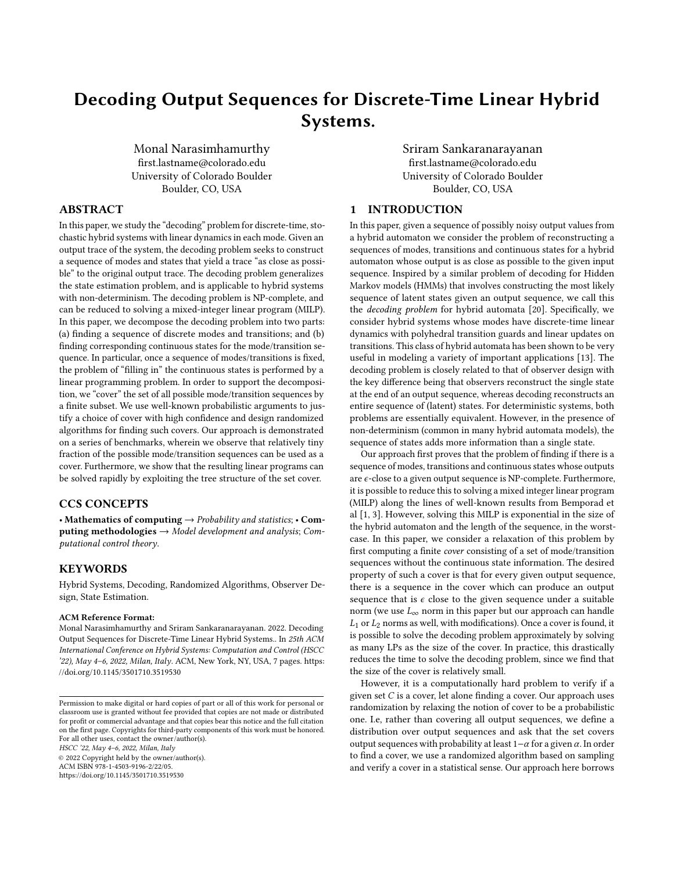# Decoding Output Sequences for Discrete-Time Linear Hybrid Systems.

Monal Narasimhamurthy first.lastname@colorado.edu University of Colorado Boulder Boulder, CO, USA

Sriram Sankaranarayanan first.lastname@colorado.edu University of Colorado Boulder Boulder, CO, USA

## ABSTRACT

In this paper, we study the "decoding" problem for discrete-time, stochastic hybrid systems with linear dynamics in each mode. Given an output trace of the system, the decoding problem seeks to construct a sequence of modes and states that yield a trace "as close as possible" to the original output trace. The decoding problem generalizes the state estimation problem, and is applicable to hybrid systems with non-determinism. The decoding problem is NP-complete, and can be reduced to solving a mixed-integer linear program (MILP). In this paper, we decompose the decoding problem into two parts: (a) finding a sequence of discrete modes and transitions; and (b) finding corresponding continuous states for the mode/transition sequence. In particular, once a sequence of modes/transitions is fixed, the problem of "filling in" the continuous states is performed by a linear programming problem. In order to support the decomposition, we "cover" the set of all possible mode/transition sequences by a finite subset. We use well-known probabilistic arguments to justify a choice of cover with high confidence and design randomized algorithms for finding such covers. Our approach is demonstrated on a series of benchmarks, wherein we observe that relatively tiny fraction of the possible mode/transition sequences can be used as a cover. Furthermore, we show that the resulting linear programs can be solved rapidly by exploiting the tree structure of the set cover.

## CCS CONCEPTS

• Mathematics of computing  $\rightarrow$  Probability and statistics; • Computing methodologies  $\rightarrow$  Model development and analysis; Computational control theory.

## **KEYWORDS**

Hybrid Systems, Decoding, Randomized Algorithms, Observer Design, State Estimation.

#### ACM Reference Format:

Monal Narasimhamurthy and Sriram Sankaranarayanan. 2022. Decoding Output Sequences for Discrete-Time Linear Hybrid Systems.. In 25th ACM International Conference on Hybrid Systems: Computation and Control (HSCC '22), May 4–6, 2022, Milan, Italy. ACM, New York, NY, USA, [7](#page-6-0) pages. [https:](https://doi.org/10.1145/3501710.3519530) [//doi.org/10.1145/3501710.3519530](https://doi.org/10.1145/3501710.3519530)

© 2022 Copyright held by the owner/author(s). ACM ISBN 978-1-4503-9196-2/22/05. <https://doi.org/10.1145/3501710.3519530>

### 1 INTRODUCTION

In this paper, given a sequence of possibly noisy output values from a hybrid automaton we consider the problem of reconstructing a sequences of modes, transitions and continuous states for a hybrid automaton whose output is as close as possible to the given input sequence. Inspired by a similar problem of decoding for Hidden Markov models (HMMs) that involves constructing the most likely sequence of latent states given an output sequence, we call this the decoding problem for hybrid automata [\[20\]](#page-6-1). Specifically, we consider hybrid systems whose modes have discrete-time linear dynamics with polyhedral transition guards and linear updates on transitions. This class of hybrid automata has been shown to be very useful in modeling a variety of important applications [\[13\]](#page-6-2). The decoding problem is closely related to that of observer design with the key difference being that observers reconstruct the single state at the end of an output sequence, whereas decoding reconstructs an entire sequence of (latent) states. For deterministic systems, both problems are essentially equivalent. However, in the presence of non-determinism (common in many hybrid automata models), the sequence of states adds more information than a single state.

Our approach first proves that the problem of finding if there is a sequence of modes, transitions and continuous states whose outputs are  $\epsilon$ -close to a given output sequence is NP-complete. Furthermore, it is possible to reduce this to solving a mixed integer linear program (MILP) along the lines of well-known results from Bemporad et al [\[1,](#page-5-0) [3\]](#page-6-3). However, solving this MILP is exponential in the size of the hybrid automaton and the length of the sequence, in the worstcase. In this paper, we consider a relaxation of this problem by first computing a finite cover consisting of a set of mode/transition sequences without the continuous state information. The desired property of such a cover is that for every given output sequence, there is a sequence in the cover which can produce an output sequence that is  $\epsilon$  close to the given sequence under a suitable norm (we use  $L_{\infty}$  norm in this paper but our approach can handle  $L_1$  or  $L_2$  norms as well, with modifications). Once a cover is found, it is possible to solve the decoding problem approximately by solving as many LPs as the size of the cover. In practice, this drastically reduces the time to solve the decoding problem, since we find that the size of the cover is relatively small.

However, it is a computationally hard problem to verify if a given set  $C$  is a cover, let alone finding a cover. Our approach uses randomization by relaxing the notion of cover to be a probabilistic one. I.e, rather than covering all output sequences, we define a distribution over output sequences and ask that the set covers output sequences with probability at least  $1-\alpha$  for a given  $\alpha$ . In order to find a cover, we use a randomized algorithm based on sampling and verify a cover in a statistical sense. Our approach here borrows

Permission to make digital or hard copies of part or all of this work for personal or classroom use is granted without fee provided that copies are not made or distributed for profit or commercial advantage and that copies bear this notice and the full citation on the first page. Copyrights for third-party components of this work must be honored. For all other uses, contact the owner/author(s). HSCC '22, May 4–6, 2022, Milan, Italy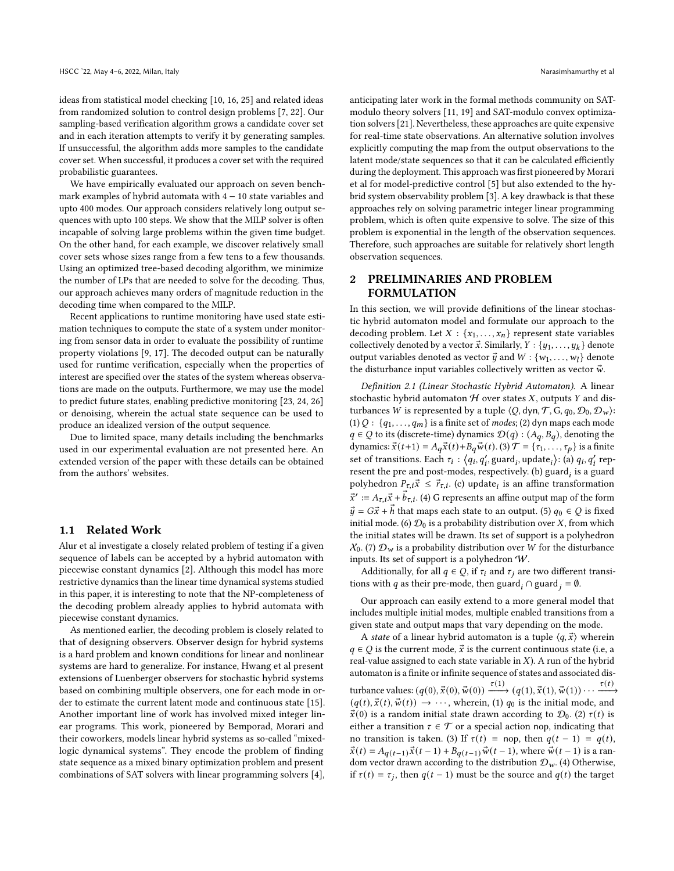ideas from statistical model checking [\[10,](#page-6-4) [16,](#page-6-5) [25\]](#page-6-6) and related ideas from randomized solution to control design problems [\[7,](#page-6-7) [22\]](#page-6-8). Our sampling-based verification algorithm grows a candidate cover set and in each iteration attempts to verify it by generating samples. If unsuccessful, the algorithm adds more samples to the candidate cover set. When successful, it produces a cover set with the required probabilistic guarantees.

We have empirically evaluated our approach on seven benchmark examples of hybrid automata with  $4 - 10$  state variables and upto 400 modes. Our approach considers relatively long output sequences with upto 100 steps. We show that the MILP solver is often incapable of solving large problems within the given time budget. On the other hand, for each example, we discover relatively small cover sets whose sizes range from a few tens to a few thousands. Using an optimized tree-based decoding algorithm, we minimize the number of LPs that are needed to solve for the decoding. Thus, our approach achieves many orders of magnitude reduction in the decoding time when compared to the MILP.

Recent applications to runtime monitoring have used state estimation techniques to compute the state of a system under monitoring from sensor data in order to evaluate the possibility of runtime property violations [\[9,](#page-6-9) [17\]](#page-6-10). The decoded output can be naturally used for runtime verification, especially when the properties of interest are specified over the states of the system whereas observations are made on the outputs. Furthermore, we may use the model to predict future states, enabling predictive monitoring [\[23,](#page-6-11) [24,](#page-6-12) [26\]](#page-6-13) or denoising, wherein the actual state sequence can be used to produce an idealized version of the output sequence.

Due to limited space, many details including the benchmarks used in our experimental evaluation are not presented here. An extended version of the paper with these details can be obtained from the authors' websites.

#### 1.1 Related Work

Alur et al investigate a closely related problem of testing if a given sequence of labels can be accepted by a hybrid automaton with piecewise constant dynamics [\[2\]](#page-6-14). Although this model has more restrictive dynamics than the linear time dynamical systems studied in this paper, it is interesting to note that the NP-completeness of the decoding problem already applies to hybrid automata with piecewise constant dynamics.

As mentioned earlier, the decoding problem is closely related to that of designing observers. Observer design for hybrid systems is a hard problem and known conditions for linear and nonlinear systems are hard to generalize. For instance, Hwang et al present extensions of Luenberger observers for stochastic hybrid systems based on combining multiple observers, one for each mode in order to estimate the current latent mode and continuous state [\[15\]](#page-6-15). Another important line of work has involved mixed integer linear programs. This work, pioneered by Bemporad, Morari and their coworkers, models linear hybrid systems as so-called "mixedlogic dynamical systems". They encode the problem of finding state sequence as a mixed binary optimization problem and present combinations of SAT solvers with linear programming solvers [\[4\]](#page-6-16), anticipating later work in the formal methods community on SATmodulo theory solvers [\[11,](#page-6-17) [19\]](#page-6-18) and SAT-modulo convex optimization solvers [\[21\]](#page-6-19). Nevertheless, these approaches are quite expensive for real-time state observations. An alternative solution involves explicitly computing the map from the output observations to the latent mode/state sequences so that it can be calculated efficiently during the deployment. This approach was first pioneered by Morari et al for model-predictive control [\[5\]](#page-6-20) but also extended to the hybrid system observability problem [\[3\]](#page-6-3). A key drawback is that these approaches rely on solving parametric integer linear programming problem, which is often quite expensive to solve. The size of this problem is exponential in the length of the observation sequences. Therefore, such approaches are suitable for relatively short length observation sequences.

## 2 PRELIMINARIES AND PROBLEM FORMULATION

In this section, we will provide definitions of the linear stochastic hybrid automaton model and formulate our approach to the decoding problem. Let  $X : \{x_1, \ldots, x_n\}$  represent state variables collectively denoted by a vector  $\vec{x}$ . Similarly,  $Y : \{y_1, \ldots, y_k\}$  denote output variables denoted as vector  $\vec{y}$  and  $W : \{w_1, \ldots, w_l\}$  denote the disturbance input variables collectively written as vector  $\vec{w}$ .

Definition 2.1 (Linear Stochastic Hybrid Automaton). A linear stochastic hybrid automaton  $H$  over states  $X$ , outputs  $Y$  and disturbances *W* is represented by a tuple  $\langle Q, dyn, T, G, q_0, D_0, D_w \rangle$ : (1)  $Q: \{q_1, \ldots, q_m\}$  is a finite set of *modes*; (2) dyn maps each mode  $q \in Q$  to its (discrete-time) dynamics  $\mathcal{D}(q) : (A_q, B_q)$ , denoting the dynamics:  $\vec{x}(t+1) = A_q \vec{x}(t) + B_q \vec{w}(t)$ . (3)  $\mathcal{T} = {\tau_1, \ldots, \tau_p}$  is a finite set of transitions. Each  $\tau_i$  :  $\langle q_i, q'_i, \text{guard}_i, \text{update}_i \rangle$ : (a)  $q_i, q'_i$  represent the pre and post-modes, respectively. (b) guard, is a guard polyhedron  $P_{\tau,i} \vec{x} \leq \vec{r}_{\tau,i}$ . (c) update<sub>i</sub> is an affine transformation  $\vec{x}' := A_{\tau,i}\vec{x} + \vec{b}_{\tau,i}$ . (4) G represents an affine output map of the form  $\vec{y} = G\vec{x} + \vec{h}$  that maps each state to an output. (5)  $q_0 \in Q$  is fixed initial mode. (6)  $\mathcal{D}_0$  is a probability distribution over X, from which the initial states will be drawn. Its set of support is a polyhedron  $X_0$ . (7)  $\mathcal{D}_w$  is a probability distribution over W for the disturbance inputs. Its set of support is a polyhedron W.

Additionally, for all  $q \in Q$ , if  $\tau_i$  and  $\tau_j$  are two different transitions with q as their pre-mode, then guard  $_i$  ∩ guard  $_j = \emptyset$ .

Our approach can easily extend to a more general model that includes multiple initial modes, multiple enabled transitions from a given state and output maps that vary depending on the mode.

A *state* of a linear hybrid automaton is a tuple  $\langle q, \vec{x} \rangle$  wherein  $q \in Q$  is the current mode,  $\vec{x}$  is the current continuous state (i.e, a real-value assigned to each state variable in  $X$ ). A run of the hybrid automaton is a finite or infinite sequence of states and associated disturbance values:  $(q(0), \vec{x}(0), \vec{w}(0)) \xrightarrow{\tau(1)} (q(1), \vec{x}(1), \vec{w}(1)) \cdots \xrightarrow{\tau(t)}$  $(q(t), \vec{x}(t), \vec{w}(t)) \rightarrow \cdots$ , wherein, (1)  $q_0$  is the initial mode, and  $\vec{x}(0)$  is a random initial state drawn according to  $\mathcal{D}_0$ . (2)  $\tau(t)$  is either a transition  $\tau \in \mathcal{T}$  or a special action nop, indicating that no transition is taken. (3) If  $\tau(t) =$  nop, then  $q(t - 1) = q(t)$ ,  $\vec{x}(t) = A_{a(t-1)}\vec{x}(t-1) + B_{a(t-1)}\vec{w}(t-1)$ , where  $\vec{w}(t-1)$  is a random vector drawn according to the distribution  $\mathcal{D}_{w}$ . (4) Otherwise, if  $\tau(t) = \tau_i$ , then  $q(t-1)$  must be the source and  $q(t)$  the target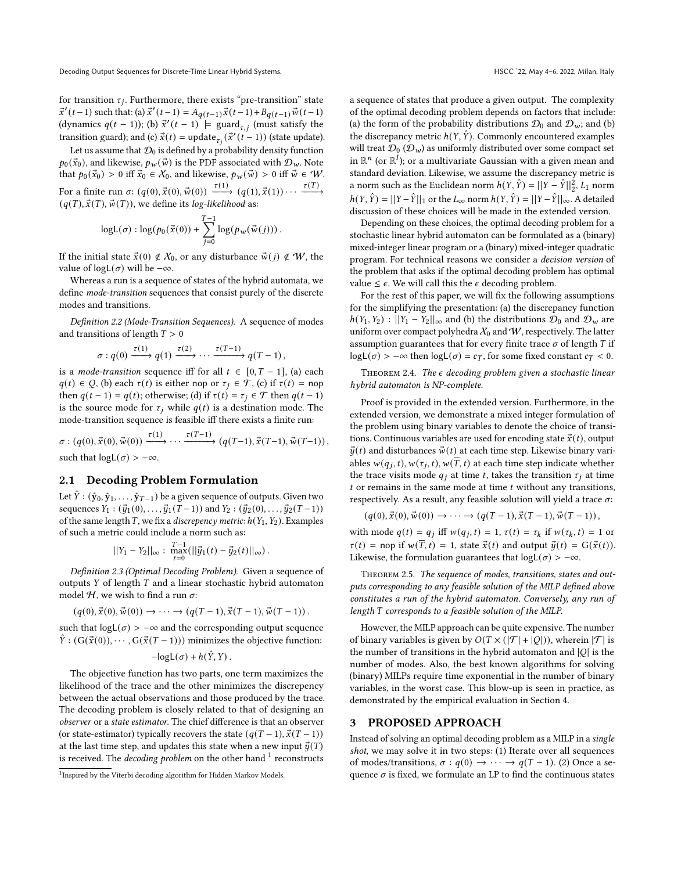for transition  $\tau_i$ . Furthermore, there exists "pre-transition" state  $\vec{x}'(t-1)$  such that: (a)  $\vec{x}'(t-1) = A_{q(t-1)}\vec{x}(t-1) + B_{q(t-1)}\vec{w}(t-1)$ (dynamics  $q(t-1)$ ); (b)  $\vec{x}'(t-1)$  = guard<sub> $\tau$ , i (must satisfy the</sub> transition guard); and (c)  $\vec{x}(t) = \text{update}_{\tau_i}(\vec{x}'(t-1))$  (state update).

Let us assume that  $\mathcal{D}_0$  is defined by a probability density function  $p_0(\vec{x}_0)$ , and likewise,  $p_w(\vec{w})$  is the PDF associated with  $\mathcal{D}_w$ . Note that  $p_0(\vec{x}_0) > 0$  iff  $\vec{x}_0 \in \mathcal{X}_0$ , and likewise,  $p_w(\vec{w}) > 0$  iff  $\vec{w} \in \mathcal{W}$ . For a finite run  $\sigma: (q(0), \vec{x}(0), \vec{w}(0)) \xrightarrow{\tau(1)} (q(1), \vec{x}(1)) \cdots \xrightarrow{\tau(T)}$  $(q(T), \vec{x}(T), \vec{w}(T))$ , we define its log-likelihood as:

$$
\log \mathsf{L}(\sigma) : \log (p_0(\vec{x}(0)) + \sum_{j=0}^{T-1} \log (p_w(\vec{w}(j))).
$$

If the initial state  $\vec{x}(0) \notin X_0$ , or any disturbance  $\vec{w}(j) \notin W$ , the value of  $logL(\sigma)$  will be  $-\infty$ .

Whereas a run is a sequence of states of the hybrid automata, we define mode-transition sequences that consist purely of the discrete modes and transitions.

Definition 2.2 (Mode-Transition Sequences). A sequence of modes and transitions of length  $T > 0$ 

$$
\sigma: q(0) \xrightarrow{\tau(1)} q(1) \xrightarrow{\tau(2)} \cdots \xrightarrow{\tau(T-1)} q(T-1),
$$

is a *mode-transition* sequence iff for all  $t \in [0, T - 1]$ , (a) each  $q(t) \in Q$ , (b) each  $\tau(t)$  is either nop or  $\tau_i \in \mathcal{T}$ , (c) if  $\tau(t) =$  nop then  $q(t - 1) = q(t)$ ; otherwise; (d) if  $\tau(t) = \tau_i \in \mathcal{T}$  then  $q(t - 1)$ is the source mode for  $\tau_i$  while  $q(t)$  is a destination mode. The mode-transition sequence is feasible iff there exists a finite run:

 $\sigma : (q(0), \vec{x}(0), \vec{w}(0)) \xrightarrow{\tau(1)} \cdots \xrightarrow{\tau(T-1)} (q(T-1), \vec{x}(T-1), \vec{w}(T-1)),$ such that  $logL(\sigma) > -\infty$ .

## 2.1 Decoding Problem Formulation

Let  $\hat{Y}$  :  $(\hat{y}_0, \hat{y}_1, \ldots, \hat{y}_{T-1})$  be a given sequence of outputs. Given two sequences  $Y_1 : (\vec{y}_1(0), \ldots, \vec{y}_1(T-1))$  and  $Y_2 : (\vec{y}_2(0), \ldots, \vec{y}_2(T-1))$ of the same length  $T$ , we fix a *discrepency metric*:  $h(Y_1, Y_2)$ . Examples of such a metric could include a norm such as:

$$
||Y_1 - Y_2||_{\infty} : \ \max_{t=0}^{T-1} (||\vec{y}_1(t) - \vec{y}_2(t)||_{\infty}).
$$

Definition 2.3 (Optimal Decoding Problem). Given a sequence of outputs  $Y$  of length  $T$  and a linear stochastic hybrid automaton model  $H$ , we wish to find a run  $\sigma$ .

$$
(q(0), \vec{x}(0), \vec{w}(0)) \rightarrow \cdots \rightarrow (q(T-1), \vec{x}(T-1), \vec{w}(T-1)).
$$

such that  $logL(\sigma) > -\infty$  and the corresponding output sequence  $\hat{Y}$  : ( $G(\vec{x}(0)), \cdots, G(\vec{x}(T-1)))$  minimizes the objective function:

$$
-\log L(\sigma) + h(\hat{Y}, Y).
$$

The objective function has two parts, one term maximizes the likelihood of the trace and the other minimizes the discrepency between the actual observations and those produced by the trace. The decoding problem is closely related to that of designing an observer or a state estimator. The chief difference is that an observer (or state-estimator) typically recovers the state  $(q(T - 1), \vec{x}(T - 1))$ at the last time step, and updates this state when a new input  $\vec{u}(T)$ is received. The *decoding problem* on the other hand  $\frac{1}{1-\epsilon}$  $\frac{1}{1-\epsilon}$  $\frac{1}{1-\epsilon}$  reconstructs

a sequence of states that produce a given output. The complexity of the optimal decoding problem depends on factors that include: (a) the form of the probability distributions  $\mathcal{D}_0$  and  $\mathcal{D}_w$ ; and (b) the discrepancy metric  $h(Y, \hat{Y})$ . Commonly encountered examples will treat  $\mathcal{D}_0$  ( $\mathcal{D}_w$ ) as uniformly distributed over some compact set in  $\mathbb{R}^n$  (or  $\mathbb{R}^l$ ); or a multivariate Gaussian with a given mean and standard deviation. Likewise, we assume the discrepancy metric is a norm such as the Euclidean norm  $h(Y, \hat{Y}) = ||Y - \hat{Y}||_2^2$ ,  $L_1$  norm  $h(Y, \hat{Y}) = ||Y - \hat{Y}||_1$  or the  $L_{\infty}$  norm  $h(Y, \hat{Y}) = ||Y - \hat{Y}||_{\infty}$ . A detailed discussion of these choices will be made in the extended version.

Depending on these choices, the optimal decoding problem for a stochastic linear hybrid automaton can be formulated as a (binary) mixed-integer linear program or a (binary) mixed-integer quadratic program. For technical reasons we consider a decision version of the problem that asks if the optimal decoding problem has optimal value  $\leq \epsilon$ . We will call this the  $\epsilon$  decoding problem.

For the rest of this paper, we will fix the following assumptions for the simplifying the presentation: (a) the discrepancy function  $h(Y_1, Y_2) : ||Y_1 - Y_2||_{\infty}$  and (b) the distributions  $\mathcal{D}_0$  and  $\mathcal{D}_w$  are uniform over compact polyhedra  $X_0$  and  $W$ , respectively. The latter assumption guarantees that for every finite trace  $\sigma$  of length  $T$  if logL( $\sigma$ ) > −∞ then logL( $\sigma$ ) =  $c_T$ , for some fixed constant  $c_T$  < 0.

THEOREM 2.4. The  $\epsilon$  decoding problem given a stochastic linear hybrid automaton is NP-complete.

Proof is provided in the extended version. Furthermore, in the extended version, we demonstrate a mixed integer formulation of the problem using binary variables to denote the choice of transitions. Continuous variables are used for encoding state  $\vec{x}(t)$ , output  $\vec{y}(t)$  and disturbances  $\vec{w}(t)$  at each time step. Likewise binary variables  $w(q_i, t), w(\tau_i, t), w(\overline{T}, t)$  at each time step indicate whether the trace visits mode  $q_i$  at time t, takes the transition  $\tau_i$  at time  $t$  or remains in the same mode at time  $t$  without any transitions, respectively. As a result, any feasible solution will yield a trace  $\sigma$ :

$$
(q(0), \vec{x}(0), \vec{w}(0)) \to \cdots \to (q(T-1), \vec{x}(T-1), \vec{w}(T-1)),
$$

with mode  $q(t) = q_i$  iff  $w(q_i, t) = 1$ ,  $\tau(t) = \tau_k$  if  $w(\tau_k, t) = 1$  or  $\tau(t)$  = nop if  $w(\overline{T}, t) = 1$ , state  $\vec{x}(t)$  and output  $\vec{y}(t) = G(\vec{x}(t)).$ Likewise, the formulation guarantees that  $logL(\sigma) > -\infty$ .

THEOREM 2.5. The sequence of modes, transitions, states and outputs corresponding to any feasible solution of the MILP defined above constitutes a run of the hybrid automaton. Conversely, any run of length T corresponds to a feasible solution of the MILP.

However, the MILP approach can be quite expensive. The number of binary variables is given by  $O(T \times (|\mathcal{T}| + |Q|))$ , wherein  $|\mathcal{T}|$  is the number of transitions in the hybrid automaton and  $|Q|$  is the number of modes. Also, the best known algorithms for solving (binary) MILPs require time exponential in the number of binary variables, in the worst case. This blow-up is seen in practice, as demonstrated by the empirical evaluation in Section [4.](#page-4-0)

#### <span id="page-2-1"></span>3 PROPOSED APPROACH

Instead of solving an optimal decoding problem as a MILP in a single shot, we may solve it in two steps: (1) Iterate over all sequences of modes/transitions,  $\sigma : q(0) \to \cdots \to q(T-1)$ . (2) Once a sequence  $\sigma$  is fixed, we formulate an LP to find the continuous states

<span id="page-2-0"></span><sup>&</sup>lt;sup>1</sup> Inspired by the Viterbi decoding algorithm for Hidden Markov Models.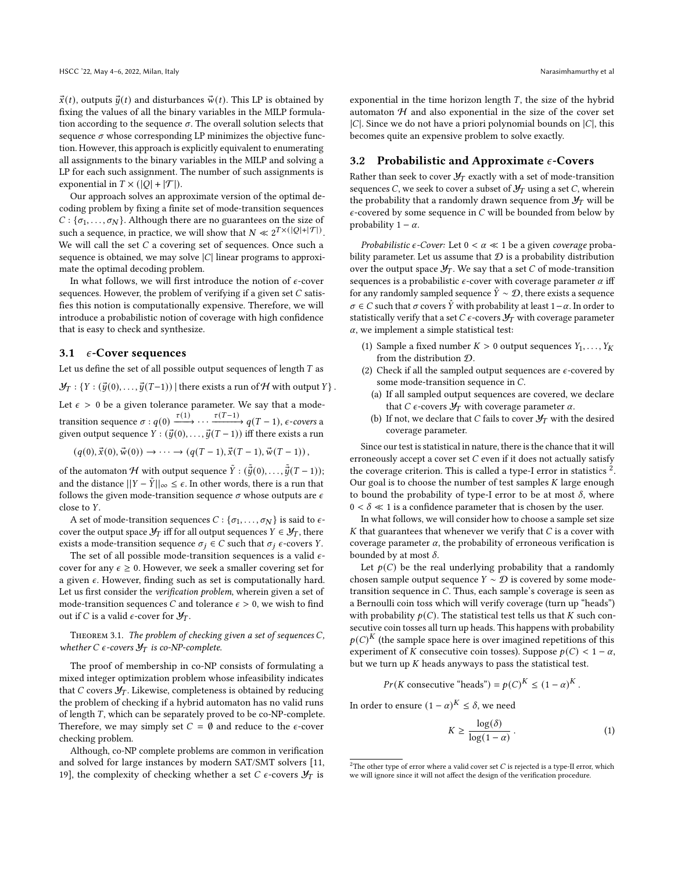$\vec{x}(t)$ , outputs  $\vec{y}(t)$  and disturbances  $\vec{w}(t)$ . This LP is obtained by fixing the values of all the binary variables in the MILP formulation according to the sequence  $\sigma$ . The overall solution selects that sequence  $\sigma$  whose corresponding LP minimizes the objective function. However, this approach is explicitly equivalent to enumerating all assignments to the binary variables in the MILP and solving a LP for each such assignment. The number of such assignments is exponential in  $T \times (|Q| + |\mathcal{T}|)$ .

Our approach solves an approximate version of the optimal decoding problem by fixing a finite set of mode-transition sequences  $C: {\sigma_1, \ldots, \sigma_N}$ . Although there are no guarantees on the size of such a sequence, in practice, we will show that  $N \ll 2^{T \times (|Q| + |T|)}$ . We will call the set  $C$  a covering set of sequences. Once such a sequence is obtained, we may solve  $|C|$  linear programs to approximate the optimal decoding problem.

In what follows, we will first introduce the notion of  $\epsilon$ -cover sequences. However, the problem of verifying if a given set  $C$  satisfies this notion is computationally expensive. Therefore, we will introduce a probabilistic notion of coverage with high confidence that is easy to check and synthesize.

#### 3.1  $\epsilon$ -Cover sequences

Let us define the set of all possible output sequences of length  $T$  as  $\mathcal{Y}_T : \{ Y : (\vec{y}(0), \ldots, \vec{y}(T-1)) \mid \text{there exists a run of } \mathcal{H} \text{ with output } Y \}.$ Let  $\epsilon > 0$  be a given tolerance parameter. We say that a modetransition sequence  $\sigma: q(0) \xrightarrow{\tau(1)} \cdots \xrightarrow{\tau(T-1)} q(T-1)$ ,  $\epsilon$ -covers a given output sequence  $Y : (\vec{y}(0), \ldots, \vec{y}(T-1))$  iff there exists a run

$$
(q(0), \vec{x}(0), \vec{w}(0)) \to \cdots \to (q(T-1), \vec{x}(T-1), \vec{w}(T-1)),
$$

of the automaton  ${\mathcal H}$  with output sequence  $\tilde Y$  :  $(\tilde{\vec y}(0),\ldots,\tilde{\vec y}(T-1));$ and the distance  $||Y - \tilde{Y}||_{\infty} \leq \epsilon$ . In other words, there is a run that follows the given mode-transition sequence  $\sigma$  whose outputs are  $\epsilon$ close to Y.

A set of mode-transition sequences  $C : {\sigma_1, \ldots, \sigma_N}$  is said to  $\epsilon$ cover the output space  $\mathcal{Y}_T$  iff for all output sequences  $Y \in \mathcal{Y}_T$ , there exists a mode-transition sequence  $\sigma_j \in C$  such that  $\sigma_j \in \text{covers } Y$ .

The set of all possible mode-transition sequences is a valid  $\epsilon$ cover for any  $\epsilon \geq 0$ . However, we seek a smaller covering set for a given  $\epsilon$ . However, finding such as set is computationally hard. Let us first consider the verification problem, wherein given a set of mode-transition sequences *C* and tolerance  $\epsilon > 0$ , we wish to find out if C is a valid  $\epsilon$ -cover for  $\mathcal{Y}_T$ .

THEOREM 3.1. The problem of checking given a set of sequences  $C$ , whether C  $\epsilon$ -covers  $\mathcal{Y}_T$  is co-NP-complete.

The proof of membership in co-NP consists of formulating a mixed integer optimization problem whose infeasibility indicates that  $C$  covers  $\mathcal{Y}_T$ . Likewise, completeness is obtained by reducing the problem of checking if a hybrid automaton has no valid runs of length  $T$ , which can be separately proved to be co-NP-complete. Therefore, we may simply set  $C = \emptyset$  and reduce to the  $\epsilon$ -cover checking problem.

Although, co-NP complete problems are common in verification and solved for large instances by modern SAT/SMT solvers [\[11,](#page-6-17) [19\]](#page-6-18), the complexity of checking whether a set  $C \epsilon$ -covers  $\mathcal{Y}_T$  is

exponential in the time horizon length  $T$ , the size of the hybrid automaton  $H$  and also exponential in the size of the cover set  $|C|$ . Since we do not have a priori polynomial bounds on  $|C|$ , this becomes quite an expensive problem to solve exactly.

#### 3.2 Probabilistic and Approximate  $\epsilon$ -Covers

Rather than seek to cover  $\mathcal{Y}_T$  exactly with a set of mode-transition sequences C, we seek to cover a subset of  $\mathcal{Y}_T$  using a set C, wherein the probability that a randomly drawn sequence from  $\mathcal{Y}_T$  will be  $\epsilon$ -covered by some sequence in  $C$  will be bounded from below by probability  $1 - \alpha$ .

*Probabilistic*  $\epsilon$ -Cover: Let  $0 < \alpha \ll 1$  be a given coverage probability parameter. Let us assume that  $D$  is a probability distribution over the output space  $\mathcal{Y}_T$ . We say that a set C of mode-transition sequences is a probabilistic  $\epsilon$ -cover with coverage parameter  $\alpha$  iff for any randomly sampled sequence  $\hat{Y} \sim \mathcal{D}$ , there exists a sequence  $σ ∈ C$  such that  $σ$  covers  $\hat{Y}$  with probability at least 1 –  $α$ . In order to statistically verify that a set C  $\epsilon$ -covers  $\mathcal{Y}_T$  with coverage parameter  $\alpha$ , we implement a simple statistical test:

- (1) Sample a fixed number  $K > 0$  output sequences  $Y_1, \ldots, Y_K$ from the distribution D.
- (2) Check if all the sampled output sequences are  $\epsilon$ -covered by some mode-transition sequence in  $C$ .
	- (a) If all sampled output sequences are covered, we declare that C  $\epsilon$ -covers  $\mathcal{Y}_T$  with coverage parameter  $\alpha$ .
	- (b) If not, we declare that C fails to cover  $\mathcal{Y}_T$  with the desired coverage parameter.

Since our test is statistical in nature, there is the chance that it will erroneously accept a cover set  $C$  even if it does not actually satisfy the coverage criterion. This is called a type-I error in statistics  $\frac{2}{3}$  $\frac{2}{3}$  $\frac{2}{3}$ . Our goal is to choose the number of test samples  $K$  large enough to bound the probability of type-I error to be at most  $\delta$ , where  $0 < \delta \ll 1$  is a confidence parameter that is chosen by the user.

In what follows, we will consider how to choose a sample set size  $K$  that guarantees that whenever we verify that  $C$  is a cover with coverage parameter  $\alpha$ , the probability of erroneous verification is bounded by at most  $\delta$ .

Let  $p(C)$  be the real underlying probability that a randomly chosen sample output sequence  $Y \sim \mathcal{D}$  is covered by some modetransition sequence in  $C$ . Thus, each sample's coverage is seen as a Bernoulli coin toss which will verify coverage (turn up "heads") with probability  $p(C)$ . The statistical test tells us that K such consecutive coin tosses all turn up heads. This happens with probability  $p(C)^K$  (the sample space here is over imagined repetitions of this experiment of K consecutive coin tosses). Suppose  $p(C) < 1 - \alpha$ , but we turn up  $K$  heads anyways to pass the statistical test.

$$
Pr(K
$$
 consecutive "heads") =  $p(C)^K \le (1 - \alpha)^K$ .

In order to ensure  $(1 - \alpha)^K \leq \delta$ , we need

<span id="page-3-1"></span>
$$
K \ge \frac{\log(\delta)}{\log(1 - \alpha)}\,. \tag{1}
$$

<span id="page-3-0"></span><sup>&</sup>lt;sup>2</sup>The other type of error where a valid cover set  $C$  is rejected is a type-II error, which we will ignore since it will not affect the design of the verification procedure.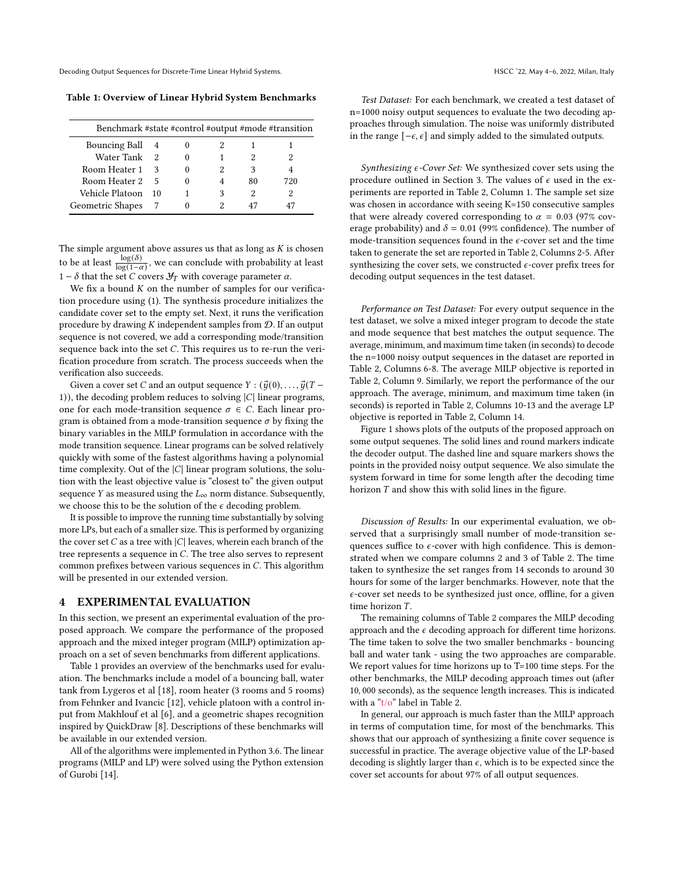Decoding Output Sequences for Discrete-Time Linear Hybrid Systems. The Contract of the Second HSCC '22, May 4–6, 2022, Milan, Italy

<span id="page-4-1"></span>Table 1: Overview of Linear Hybrid System Benchmarks

| Benchmark #state #control #output #mode #transition |    |   |   |    |     |
|-----------------------------------------------------|----|---|---|----|-----|
| Bouncing Ball 4                                     |    |   |   |    |     |
| Water Tank                                          | 2  |   |   |    |     |
| Room Heater 1                                       | κ  |   |   | ٩  |     |
| Room Heater 2                                       | 5  | 0 |   | 80 | 720 |
| Vehicle Platoon                                     | 10 |   | 3 | 2  |     |
| Geometric Shapes                                    |    |   |   | 47 |     |

The simple argument above assures us that as long as  $K$  is chosen to be at least  $\frac{\log(\delta)}{\log(1-\alpha)}$ , we can conclude with probability at least 1 −  $δ$  that the set  $C$  covers  $Y_T$  with coverage parameter  $α$ .

We fix a bound  $K$  on the number of samples for our verification procedure using [\(1\)](#page-3-1). The synthesis procedure initializes the candidate cover set to the empty set. Next, it runs the verification procedure by drawing  $K$  independent samples from  $D$ . If an output sequence is not covered, we add a corresponding mode/transition sequence back into the set  $C$ . This requires us to re-run the verification procedure from scratch. The process succeeds when the verification also succeeds.

Given a cover set C and an output sequence  $Y : (\vec{y}(0), \ldots, \vec{y}(T -$ 1)), the decoding problem reduces to solving  $|C|$  linear programs, one for each mode-transition sequence  $\sigma \in C$ . Each linear program is obtained from a mode-transition sequence  $\sigma$  by fixing the binary variables in the MILP formulation in accordance with the mode transition sequence. Linear programs can be solved relatively quickly with some of the fastest algorithms having a polynomial time complexity. Out of the  $|C|$  linear program solutions, the solution with the least objective value is "closest to" the given output sequence Y as measured using the  $L_{\infty}$  norm distance. Subsequently, we choose this to be the solution of the  $\epsilon$  decoding problem.

It is possible to improve the running time substantially by solving more LPs, but each of a smaller size. This is performed by organizing the cover set  $C$  as a tree with  $|C|$  leaves, wherein each branch of the tree represents a sequence in  $C$ . The tree also serves to represent common prefixes between various sequences in  $C$ . This algorithm will be presented in our extended version.

#### <span id="page-4-0"></span>4 EXPERIMENTAL EVALUATION

In this section, we present an experimental evaluation of the proposed approach. We compare the performance of the proposed approach and the mixed integer program (MILP) optimization approach on a set of seven benchmarks from different applications.

Table [1](#page-4-1) provides an overview of the benchmarks used for evaluation. The benchmarks include a model of a bouncing ball, water tank from Lygeros et al [\[18\]](#page-6-21), room heater (3 rooms and 5 rooms) from Fehnker and Ivancic [\[12\]](#page-6-22), vehicle platoon with a control input from Makhlouf et al [\[6\]](#page-6-23), and a geometric shapes recognition inspired by QuickDraw [\[8\]](#page-6-24). Descriptions of these benchmarks will be available in our extended version.

All of the algorithms were implemented in Python 3.6. The linear programs (MILP and LP) were solved using the Python extension of Gurobi [\[14\]](#page-6-25).

Test Dataset: For each benchmark, we created a test dataset of n=1000 noisy output sequences to evaluate the two decoding approaches through simulation. The noise was uniformly distributed in the range  $[-\epsilon, \epsilon]$  and simply added to the simulated outputs.

Synthesizing  $\epsilon$ -Cover Set: We synthesized cover sets using the procedure outlined in Section [3.](#page-2-1) The values of  $\epsilon$  used in the experiments are reported in Table [2,](#page-5-1) Column 1. The sample set size was chosen in accordance with seeing K=150 consecutive samples that were already covered corresponding to  $\alpha = 0.03$  (97% coverage probability) and  $\delta = 0.01$  (99% confidence). The number of mode-transition sequences found in the  $\epsilon$ -cover set and the time taken to generate the set are reported in Table [2,](#page-5-1) Columns 2-5. After synthesizing the cover sets, we constructed  $\epsilon$ -cover prefix trees for decoding output sequences in the test dataset.

Performance on Test Dataset: For every output sequence in the test dataset, we solve a mixed integer program to decode the state and mode sequence that best matches the output sequence. The average, minimum, and maximum time taken (in seconds) to decode the n=1000 noisy output sequences in the dataset are reported in Table [2,](#page-5-1) Columns 6-8. The average MILP objective is reported in Table [2,](#page-5-1) Column 9. Similarly, we report the performance of the our approach. The average, minimum, and maximum time taken (in seconds) is reported in Table [2,](#page-5-1) Columns 10-13 and the average LP objective is reported in Table [2,](#page-5-1) Column 14.

Figure [1](#page-5-2) shows plots of the outputs of the proposed approach on some output sequenes. The solid lines and round markers indicate the decoder output. The dashed line and square markers shows the points in the provided noisy output sequence. We also simulate the system forward in time for some length after the decoding time horizon  $T$  and show this with solid lines in the figure.

Discussion of Results: In our experimental evaluation, we observed that a surprisingly small number of mode-transition sequences suffice to  $\epsilon$ -cover with high confidence. This is demonstrated when we compare columns 2 and 3 of Table [2.](#page-5-1) The time taken to synthesize the set ranges from 14 seconds to around 30 hours for some of the larger benchmarks. However, note that the  $\epsilon$ -cover set needs to be synthesized just once, offline, for a given time horizon  $T$ .

The remaining columns of Table [2](#page-5-1) compares the MILP decoding approach and the  $\epsilon$  decoding approach for different time horizons. The time taken to solve the two smaller benchmarks - bouncing ball and water tank - using the two approaches are comparable. We report values for time horizons up to T=100 time steps. For the other benchmarks, the MILP decoding approach times out (after 10, 000 seconds), as the sequence length increases. This is indicated with a "t/o" label in Table [2.](#page-5-1)

In general, our approach is much faster than the MILP approach in terms of computation time, for most of the benchmarks. This shows that our approach of synthesizing a finite cover sequence is successful in practice. The average objective value of the LP-based decoding is slightly larger than  $\epsilon$ , which is to be expected since the cover set accounts for about 97% of all output sequences.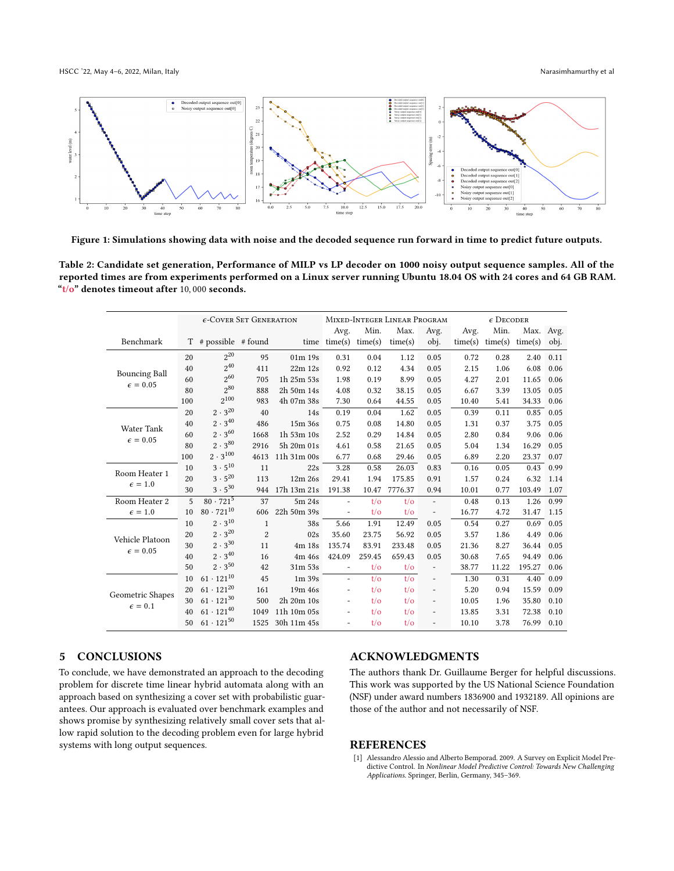<span id="page-5-2"></span>

Figure 1: Simulations showing data with noise and the decoded sequence run forward in time to predict future outputs.

<span id="page-5-1"></span>Table 2: Candidate set generation, Performance of MILP vs LP decoder on 1000 noisy output sequence samples. All of the reported times are from experiments performed on a Linux server running Ubuntu 18.04 OS with 24 cores and 64 GB RAM. " $t/o$ " denotes timeout after 10,000 seconds.

|                                           | $\epsilon$ -Cover Set Generation |                        |                | MIXED-INTEGER LINEAR PROGRAM |                          |                |                | $\epsilon$ Decoder           |         |         |           |      |
|-------------------------------------------|----------------------------------|------------------------|----------------|------------------------------|--------------------------|----------------|----------------|------------------------------|---------|---------|-----------|------|
|                                           |                                  |                        |                |                              | Avg.                     | Min.           | Max.           | Avg.                         | Avg.    | Min.    | Max. Avg. |      |
| Benchmark                                 |                                  | $T$ # possible # found |                |                              | $time$ time $(s)$        | time(s)        | time(s)        | obj.                         | time(s) | time(s) | time(s)   | obj. |
| <b>Bouncing Ball</b><br>$\epsilon = 0.05$ | 20                               | $2^{20}$               | 95             | 01m 19s                      | 0.31                     | 0.04           | 1.12           | 0.05                         | 0.72    | 0.28    | 2.40      | 0.11 |
|                                           | 40                               | $2^{40}$               | 411            | 22m 12s                      | 0.92                     | 0.12           | 4.34           | 0.05                         | 2.15    | 1.06    | 6.08      | 0.06 |
|                                           | 60                               | $2^{60}$               | 705            | 1h 25m 53s                   | 1.98                     | 0.19           | 8.99           | 0.05                         | 4.27    | 2.01    | 11.65     | 0.06 |
|                                           | 80                               | 280                    | 888            | 2h 50m 14s                   | 4.08                     | 0.32           | 38.15          | 0.05                         | 6.67    | 3.39    | 13.05     | 0.05 |
|                                           | 100                              | $2^{100}$              | 983            | 4h 07m 38s                   | 7.30                     | 0.64           | 44.55          | 0.05                         | 10.40   | 5.41    | 34.33     | 0.06 |
| <b>Water Tank</b><br>$\epsilon = 0.05$    | 20                               | $2 \cdot 3^{20}$       | 40             | 14s                          | 0.19                     | 0.04           | 1.62           | 0.05                         | 0.39    | 0.11    | 0.85      | 0.05 |
|                                           | 40                               | $2 \cdot 3^{40}$       | 486            | 15m 36s                      | 0.75                     | 0.08           | 14.80          | 0.05                         | 1.31    | 0.37    | 3.75      | 0.05 |
|                                           | 60                               | $2 \cdot 3^{60}$       | 1668           | 1h 53m 10s                   | 2.52                     | 0.29           | 14.84          | 0.05                         | 2.80    | 0.84    | 9.06      | 0.06 |
|                                           | 80                               | $2 \cdot 3^{80}$       | 2916           | 5h 20m 01s                   | 4.61                     | 0.58           | 21.65          | 0.05                         | 5.04    | 1.34    | 16.29     | 0.05 |
|                                           | 100                              | $2 \cdot 3^{100}$      | 4613           | 11h 31m 00s                  | 6.77                     | 0.68           | 29.46          | 0.05                         | 6.89    | 2.20    | 23.37     | 0.07 |
| Room Heater 1<br>$\epsilon = 1.0$         | 10                               | $3 \cdot 5^{10}$       | 11             | 22s                          | 3.28                     | 0.58           | 26.03          | 0.83                         | 0.16    | 0.05    | 0.43      | 0.99 |
|                                           | 20                               | $3 \cdot 5^{20}$       | 113            | 12m 26s                      | 29.41                    | 1.94           | 175.85         | 0.91                         | 1.57    | 0.24    | 6.32      | 1.14 |
|                                           | 30                               | $3 \cdot 5^{30}$       | 944            | 17h 13m 21s                  | 191.38                   | 10.47          | 7776.37        | 0.94                         | 10.01   | 0.77    | 103.49    | 1.07 |
| Room Heater 2                             | 5                                | $80 \cdot 721^{5}$     | 37             | 5m 24s                       | $\overline{\phantom{a}}$ | $t/\sigma$     | $t/\sigma$     | $\qquad \qquad \blacksquare$ | 0.48    | 0.13    | 1.26      | 0.99 |
| $\epsilon = 1.0$                          | 10                               | $80 \cdot 721^{10}$    | 606            | 22h 50m 39s                  |                          | $t/\sigma$     | $t/\sigma$     | $\overline{\phantom{a}}$     | 16.77   | 4.72    | 31.47     | 1.15 |
| Vehicle Platoon<br>$\epsilon = 0.05$      | 10                               | $2 \cdot 3^{10}$       | $\mathbf{1}$   | 38s                          | 5.66                     | 1.91           | 12.49          | 0.05                         | 0.54    | 0.27    | 0.69      | 0.05 |
|                                           | 20                               | $2 \cdot 3^{20}$       | $\overline{2}$ | 02s                          | 35.60                    | 23.75          | 56.92          | 0.05                         | 3.57    | 1.86    | 4.49      | 0.06 |
|                                           | 30                               | $2 \cdot 3^{30}$       | 11             | 4m 18s                       | 135.74                   | 83.91          | 233.48         | 0.05                         | 21.36   | 8.27    | 36.44     | 0.05 |
|                                           | 40                               | $2 \cdot 3^{40}$       | 16             | 4m 46s                       | 424.09                   | 259.45         | 659.43         | 0.05                         | 30.68   | 7.65    | 94.49     | 0.06 |
|                                           | 50                               | $2 \cdot 3^{50}$       | 42             | 31m 53s                      | $\bar{\phantom{a}}$      | $t/\sigma$     | $t/\sigma$     | $\blacksquare$               | 38.77   | 11.22   | 195.27    | 0.06 |
| Geometric Shapes<br>$\epsilon = 0.1$      | 10                               | $61 \cdot 121^{10}$    | 45             | 1m39s                        | $\overline{\phantom{a}}$ | $t/\sigma$     | $t/\sigma$     | $\overline{\phantom{a}}$     | 1.30    | 0.31    | 4.40      | 0.09 |
|                                           | 20                               | $61 \cdot 121^{20}$    | 161            | 19m 46s                      | $\sim$                   | $t/\sigma$     | $t/\sigma$     | $\overline{\phantom{a}}$     | 5.20    | 0.94    | 15.59     | 0.09 |
|                                           | 30                               | $61 \cdot 121^{30}$    | 500            | 2h 20m 10s                   | $\blacksquare$           | $t/\sigma$     | $t/\sigma$     | $\overline{\phantom{a}}$     | 10.05   | 1.96    | 35.80     | 0.10 |
|                                           | 40                               | $61 \cdot 121^{40}$    | 1049           | 11h 10m 05s                  | $\overline{\phantom{a}}$ | $t/\sigma$     | $t/\sigma$     | $\qquad \qquad -$            | 13.85   | 3.31    | 72.38     | 0.10 |
|                                           | 50                               | $61 \cdot 121^{50}$    | 1525           | 30h 11m 45s                  | $\overline{\phantom{a}}$ | $t/\mathrm{o}$ | $t/\mathrm{o}$ | ÷,                           | 10.10   | 3.78    | 76.99     | 0.10 |

#### 5 CONCLUSIONS

To conclude, we have demonstrated an approach to the decoding problem for discrete time linear hybrid automata along with an approach based on synthesizing a cover set with probabilistic guarantees. Our approach is evaluated over benchmark examples and shows promise by synthesizing relatively small cover sets that allow rapid solution to the decoding problem even for large hybrid systems with long output sequences.

#### ACKNOWLEDGMENTS

The authors thank Dr. Guillaume Berger for helpful discussions. This work was supported by the US National Science Foundation (NSF) under award numbers 1836900 and 1932189. All opinions are those of the author and not necessarily of NSF.

#### REFERENCES

<span id="page-5-0"></span>[1] Alessandro Alessio and Alberto Bemporad. 2009. A Survey on Explicit Model Predictive Control. In Nonlinear Model Predictive Control: Towards New Challenging Applications. Springer, Berlin, Germany, 345–369.